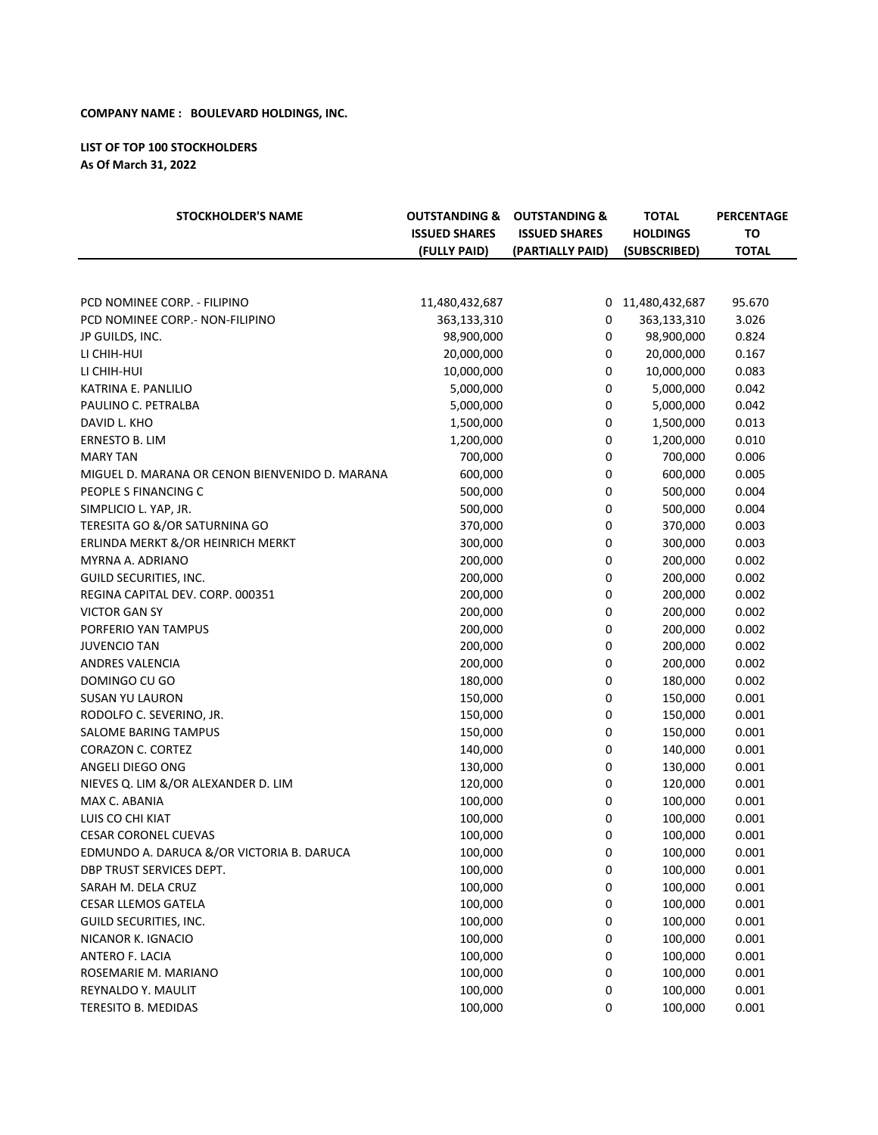## **COMPANY NAME: BOULEVARD HOLDINGS, INC.**

## **LIST OF TOP 100 STOCKHOLDERS As Of March 31, 2022**

| <b>STOCKHOLDER'S NAME</b>                      | <b>OUTSTANDING &amp;</b><br><b>ISSUED SHARES</b><br>(FULLY PAID) | <b>OUTSTANDING &amp;</b><br><b>ISSUED SHARES</b><br>(PARTIALLY PAID) | <b>TOTAL</b><br><b>HOLDINGS</b><br>(SUBSCRIBED) | <b>PERCENTAGE</b><br><b>TO</b><br><b>TOTAL</b> |
|------------------------------------------------|------------------------------------------------------------------|----------------------------------------------------------------------|-------------------------------------------------|------------------------------------------------|
|                                                |                                                                  |                                                                      |                                                 |                                                |
|                                                |                                                                  |                                                                      |                                                 |                                                |
| PCD NOMINEE CORP. - FILIPINO                   | 11,480,432,687                                                   | 0                                                                    | 11,480,432,687                                  | 95.670                                         |
| PCD NOMINEE CORP. - NON-FILIPINO               | 363,133,310                                                      | 0                                                                    | 363,133,310                                     | 3.026                                          |
| JP GUILDS, INC.                                | 98,900,000                                                       | $\mathbf 0$                                                          | 98,900,000                                      | 0.824                                          |
| LI CHIH-HUI                                    | 20,000,000                                                       | $\mathbf 0$                                                          | 20,000,000                                      | 0.167                                          |
| LI CHIH-HUI                                    | 10,000,000                                                       | $\mathbf 0$                                                          | 10,000,000                                      | 0.083                                          |
| KATRINA E. PANLILIO                            | 5,000,000                                                        | $\mathbf 0$                                                          | 5,000,000                                       | 0.042                                          |
| PAULINO C. PETRALBA                            | 5,000,000                                                        | 0                                                                    | 5,000,000                                       | 0.042                                          |
| DAVID L. KHO                                   | 1,500,000                                                        | 0                                                                    | 1,500,000                                       | 0.013                                          |
| ERNESTO B. LIM                                 | 1,200,000                                                        | 0                                                                    | 1,200,000                                       | 0.010                                          |
| <b>MARY TAN</b>                                | 700,000                                                          | 0                                                                    | 700,000                                         | 0.006                                          |
| MIGUEL D. MARANA OR CENON BIENVENIDO D. MARANA | 600,000                                                          | 0                                                                    | 600,000                                         | 0.005                                          |
| PEOPLE S FINANCING C                           | 500,000                                                          | 0                                                                    | 500,000                                         | 0.004                                          |
| SIMPLICIO L. YAP, JR.                          | 500,000                                                          | 0                                                                    | 500,000                                         | 0.004                                          |
| TERESITA GO &/OR SATURNINA GO                  | 370,000                                                          | 0                                                                    | 370,000                                         | 0.003                                          |
| ERLINDA MERKT &/OR HEINRICH MERKT              | 300,000                                                          | 0                                                                    | 300,000                                         | 0.003                                          |
| MYRNA A. ADRIANO                               | 200,000                                                          | 0                                                                    | 200,000                                         | 0.002                                          |
| GUILD SECURITIES, INC.                         | 200,000                                                          | 0                                                                    | 200,000                                         | 0.002                                          |
| REGINA CAPITAL DEV. CORP. 000351               | 200,000                                                          | 0                                                                    | 200,000                                         | 0.002                                          |
| <b>VICTOR GAN SY</b>                           | 200,000                                                          | 0                                                                    | 200,000                                         | 0.002                                          |
| PORFERIO YAN TAMPUS                            | 200,000                                                          | 0                                                                    | 200,000                                         | 0.002                                          |
| <b>JUVENCIO TAN</b>                            | 200,000                                                          | 0                                                                    | 200,000                                         | 0.002                                          |
| ANDRES VALENCIA                                | 200,000                                                          | 0                                                                    | 200,000                                         | 0.002                                          |
| DOMINGO CU GO                                  | 180,000                                                          | 0                                                                    | 180,000                                         | 0.002                                          |
| <b>SUSAN YU LAURON</b>                         | 150,000                                                          | 0                                                                    | 150,000                                         | 0.001                                          |
| RODOLFO C. SEVERINO, JR.                       | 150,000                                                          | 0                                                                    | 150,000                                         | 0.001                                          |
| SALOME BARING TAMPUS                           | 150,000                                                          | 0                                                                    | 150,000                                         | 0.001                                          |
| CORAZON C. CORTEZ                              | 140,000                                                          | 0                                                                    | 140,000                                         | 0.001                                          |
| ANGELI DIEGO ONG                               | 130,000                                                          | 0                                                                    | 130,000                                         | 0.001                                          |
| NIEVES Q. LIM &/OR ALEXANDER D. LIM            | 120,000                                                          | 0                                                                    | 120,000                                         | 0.001                                          |
| MAX C. ABANIA                                  | 100,000                                                          | 0                                                                    | 100,000                                         | 0.001                                          |
| LUIS CO CHI KIAT                               | 100,000                                                          | 0                                                                    | 100,000                                         | 0.001                                          |
| <b>CESAR CORONEL CUEVAS</b>                    | 100,000                                                          | $\mathbf 0$                                                          | 100,000                                         | 0.001                                          |
| EDMUNDO A. DARUCA &/OR VICTORIA B. DARUCA      | 100,000                                                          | 0                                                                    | 100,000                                         | 0.001                                          |
| DBP TRUST SERVICES DEPT.                       | 100,000                                                          | 0                                                                    | 100,000                                         | 0.001                                          |
| SARAH M. DELA CRUZ                             | 100,000                                                          | 0                                                                    | 100,000                                         | 0.001                                          |
| <b>CESAR LLEMOS GATELA</b>                     | 100,000                                                          | 0                                                                    | 100,000                                         | 0.001                                          |
| GUILD SECURITIES, INC.                         | 100,000                                                          | 0                                                                    | 100,000                                         | 0.001                                          |
| NICANOR K. IGNACIO                             | 100,000                                                          | 0                                                                    | 100,000                                         | 0.001                                          |
| ANTERO F. LACIA                                | 100,000                                                          | 0                                                                    | 100,000                                         | 0.001                                          |
| ROSEMARIE M. MARIANO                           | 100,000                                                          | 0                                                                    | 100,000                                         | 0.001                                          |
| REYNALDO Y. MAULIT                             | 100,000                                                          | 0                                                                    | 100,000                                         | 0.001                                          |
| TERESITO B. MEDIDAS                            | 100,000                                                          | 0                                                                    | 100,000                                         | 0.001                                          |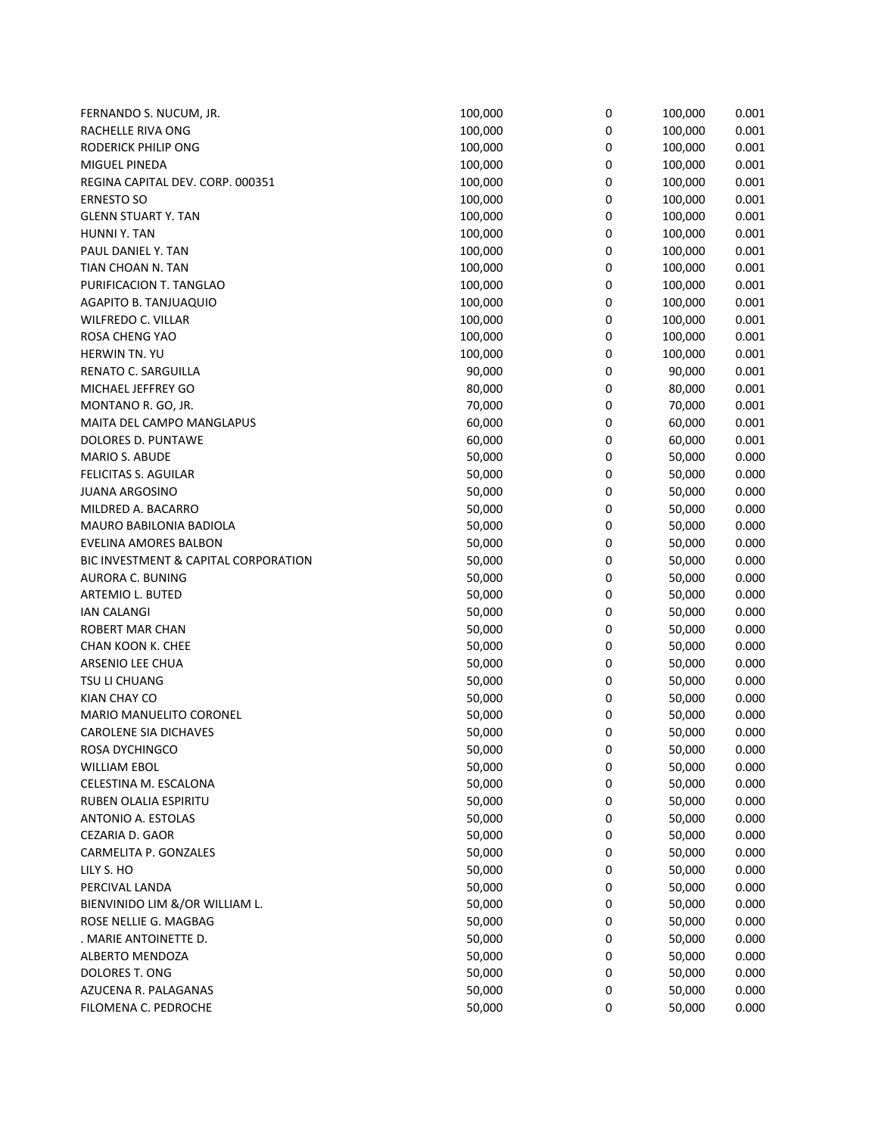| FERNANDO S. NUCUM, JR.               | 100,000 | 0 | 100,000 | 0.001 |
|--------------------------------------|---------|---|---------|-------|
| RACHELLE RIVA ONG                    | 100,000 | 0 | 100,000 | 0.001 |
| <b>RODERICK PHILIP ONG</b>           | 100,000 | 0 | 100,000 | 0.001 |
| MIGUEL PINEDA                        | 100,000 | 0 | 100,000 | 0.001 |
| REGINA CAPITAL DEV. CORP. 000351     | 100,000 | 0 | 100,000 | 0.001 |
| <b>ERNESTO SO</b>                    | 100,000 | 0 | 100,000 | 0.001 |
| <b>GLENN STUART Y. TAN</b>           | 100,000 | 0 | 100,000 | 0.001 |
| HUNNI Y. TAN                         | 100,000 | 0 | 100,000 | 0.001 |
| PAUL DANIEL Y. TAN                   | 100,000 | 0 | 100,000 | 0.001 |
| TIAN CHOAN N. TAN                    | 100,000 | 0 | 100,000 | 0.001 |
| PURIFICACION T. TANGLAO              | 100,000 | 0 | 100,000 | 0.001 |
| AGAPITO B. TANJUAQUIO                | 100,000 | 0 | 100,000 | 0.001 |
| <b>WILFREDO C. VILLAR</b>            | 100,000 | 0 | 100,000 |       |
|                                      |         |   |         | 0.001 |
| ROSA CHENG YAO                       | 100,000 | 0 | 100,000 | 0.001 |
| HERWIN TN. YU                        | 100,000 | 0 | 100,000 | 0.001 |
| RENATO C. SARGUILLA                  | 90,000  | 0 | 90,000  | 0.001 |
| MICHAEL JEFFREY GO                   | 80,000  | 0 | 80,000  | 0.001 |
| MONTANO R. GO, JR.                   | 70,000  | 0 | 70,000  | 0.001 |
| MAITA DEL CAMPO MANGLAPUS            | 60,000  | 0 | 60,000  | 0.001 |
| DOLORES D. PUNTAWE                   | 60,000  | 0 | 60,000  | 0.001 |
| MARIO S. ABUDE                       | 50,000  | 0 | 50,000  | 0.000 |
| FELICITAS S. AGUILAR                 | 50,000  | 0 | 50,000  | 0.000 |
| <b>JUANA ARGOSINO</b>                | 50,000  | 0 | 50,000  | 0.000 |
| MILDRED A. BACARRO                   | 50,000  | 0 | 50,000  | 0.000 |
| MAURO BABILONIA BADIOLA              | 50,000  | 0 | 50,000  | 0.000 |
| EVELINA AMORES BALBON                | 50,000  | 0 | 50,000  | 0.000 |
| BIC INVESTMENT & CAPITAL CORPORATION | 50,000  | 0 | 50,000  | 0.000 |
| AURORA C. BUNING                     | 50,000  | 0 | 50,000  | 0.000 |
| ARTEMIO L. BUTED                     | 50,000  | 0 | 50,000  | 0.000 |
| <b>IAN CALANGI</b>                   | 50,000  | 0 | 50,000  | 0.000 |
| ROBERT MAR CHAN                      | 50,000  | 0 | 50,000  | 0.000 |
| CHAN KOON K. CHEE                    | 50,000  | 0 | 50,000  | 0.000 |
| ARSENIO LEE CHUA                     | 50,000  | 0 | 50,000  | 0.000 |
| TSU LI CHUANG                        | 50,000  | 0 | 50,000  | 0.000 |
| KIAN CHAY CO                         | 50,000  | 0 | 50,000  | 0.000 |
| MARIO MANUELITO CORONEL              | 50,000  | 0 | 50,000  | 0.000 |
| <b>CAROLENE SIA DICHAVES</b>         | 50,000  | 0 | 50,000  | 0.000 |
| ROSA DYCHINGCO                       | 50,000  | 0 | 50,000  | 0.000 |
| <b>WILLIAM EBOL</b>                  | 50,000  | 0 | 50,000  | 0.000 |
| CELESTINA M. ESCALONA                | 50,000  | 0 | 50,000  | 0.000 |
| RUBEN OLALIA ESPIRITU                | 50,000  | 0 | 50,000  | 0.000 |
| ANTONIO A. ESTOLAS                   | 50,000  | 0 | 50,000  | 0.000 |
| CEZARIA D. GAOR                      | 50,000  | 0 | 50,000  | 0.000 |
| CARMELITA P. GONZALES                | 50,000  | 0 | 50,000  | 0.000 |
| LILY S. HO                           | 50,000  | 0 | 50,000  | 0.000 |
| PERCIVAL LANDA                       | 50,000  | 0 |         | 0.000 |
|                                      |         |   | 50,000  |       |
| BIENVINIDO LIM &/OR WILLIAM L.       | 50,000  | 0 | 50,000  | 0.000 |
| ROSE NELLIE G. MAGBAG                | 50,000  | 0 | 50,000  | 0.000 |
| . MARIE ANTOINETTE D.                | 50,000  | 0 | 50,000  | 0.000 |
| ALBERTO MENDOZA                      | 50,000  | 0 | 50,000  | 0.000 |
| DOLORES T. ONG                       | 50,000  | 0 | 50,000  | 0.000 |
| AZUCENA R. PALAGANAS                 | 50,000  | 0 | 50,000  | 0.000 |
| FILOMENA C. PEDROCHE                 | 50,000  | 0 | 50,000  | 0.000 |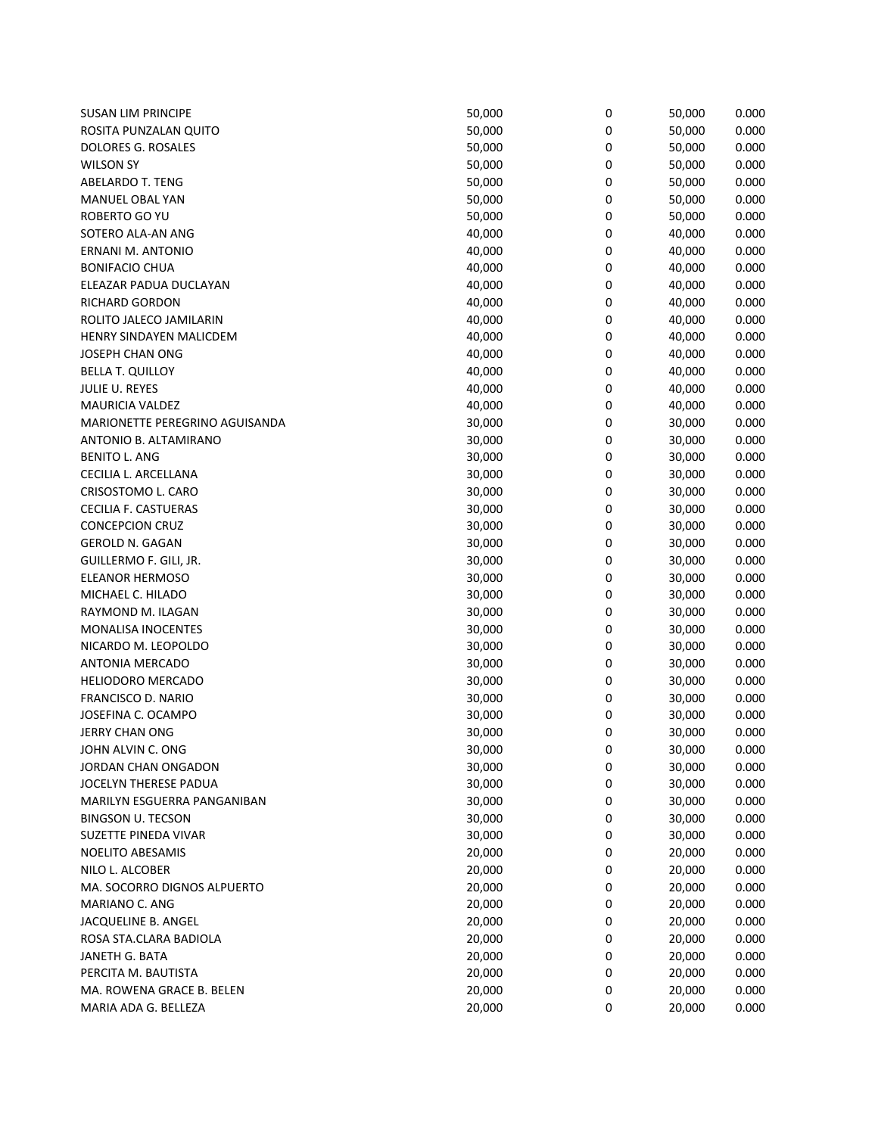| <b>SUSAN LIM PRINCIPE</b>      | 50,000 | 0 | 50,000 | 0.000 |
|--------------------------------|--------|---|--------|-------|
| ROSITA PUNZALAN QUITO          | 50,000 | 0 | 50,000 | 0.000 |
| DOLORES G. ROSALES             | 50,000 | 0 | 50,000 | 0.000 |
| <b>WILSON SY</b>               | 50,000 | 0 | 50,000 | 0.000 |
| <b>ABELARDO T. TENG</b>        | 50,000 | 0 | 50,000 | 0.000 |
| MANUEL OBAL YAN                | 50,000 | 0 | 50,000 | 0.000 |
| ROBERTO GO YU                  | 50,000 | 0 | 50,000 | 0.000 |
| SOTERO ALA-AN ANG              | 40,000 | 0 | 40,000 | 0.000 |
| <b>ERNANI M. ANTONIO</b>       | 40,000 | 0 | 40,000 | 0.000 |
| <b>BONIFACIO CHUA</b>          | 40,000 | 0 | 40,000 | 0.000 |
| ELEAZAR PADUA DUCLAYAN         | 40,000 | 0 | 40,000 | 0.000 |
| RICHARD GORDON                 | 40,000 | 0 | 40,000 | 0.000 |
| ROLITO JALECO JAMILARIN        | 40,000 | 0 | 40,000 | 0.000 |
| HENRY SINDAYEN MALICDEM        | 40,000 | 0 | 40,000 | 0.000 |
| JOSEPH CHAN ONG                | 40,000 | 0 | 40,000 | 0.000 |
| <b>BELLA T. QUILLOY</b>        | 40,000 | 0 | 40,000 | 0.000 |
| JULIE U. REYES                 | 40,000 | 0 | 40,000 | 0.000 |
| <b>MAURICIA VALDEZ</b>         | 40,000 | 0 | 40,000 | 0.000 |
| MARIONETTE PEREGRINO AGUISANDA | 30,000 | 0 | 30,000 | 0.000 |
| ANTONIO B. ALTAMIRANO          | 30,000 | 0 | 30,000 | 0.000 |
| <b>BENITO L. ANG</b>           | 30,000 | 0 | 30,000 | 0.000 |
| CECILIA L. ARCELLANA           | 30,000 | 0 | 30,000 | 0.000 |
| CRISOSTOMO L. CARO             | 30,000 | 0 | 30,000 | 0.000 |
| <b>CECILIA F. CASTUERAS</b>    | 30,000 | 0 | 30,000 | 0.000 |
| <b>CONCEPCION CRUZ</b>         | 30,000 | 0 | 30,000 | 0.000 |
| <b>GEROLD N. GAGAN</b>         | 30,000 | 0 |        | 0.000 |
| GUILLERMO F. GILI, JR.         | 30,000 | 0 | 30,000 | 0.000 |
| ELEANOR HERMOSO                | 30,000 | 0 | 30,000 | 0.000 |
| MICHAEL C. HILADO              |        | 0 | 30,000 | 0.000 |
|                                | 30,000 |   | 30,000 |       |
| RAYMOND M. ILAGAN              | 30,000 | 0 | 30,000 | 0.000 |
| MONALISA INOCENTES             | 30,000 | 0 | 30,000 | 0.000 |
| NICARDO M. LEOPOLDO            | 30,000 | 0 | 30,000 | 0.000 |
| ANTONIA MERCADO                | 30,000 | 0 | 30,000 | 0.000 |
| <b>HELIODORO MERCADO</b>       | 30,000 | 0 | 30,000 | 0.000 |
| FRANCISCO D. NARIO             | 30,000 | 0 | 30,000 | 0.000 |
| JOSEFINA C. OCAMPO             | 30,000 | 0 | 30,000 | 0.000 |
| <b>JERRY CHAN ONG</b>          | 30,000 | 0 | 30,000 | 0.000 |
| JOHN ALVIN C. ONG              | 30,000 | 0 | 30,000 | 0.000 |
| JORDAN CHAN ONGADON            | 30,000 | 0 | 30,000 | 0.000 |
| JOCELYN THERESE PADUA          | 30,000 | 0 | 30,000 | 0.000 |
| MARILYN ESGUERRA PANGANIBAN    | 30,000 | 0 | 30,000 | 0.000 |
| <b>BINGSON U. TECSON</b>       | 30,000 | 0 | 30,000 | 0.000 |
| SUZETTE PINEDA VIVAR           | 30,000 | 0 | 30,000 | 0.000 |
| <b>NOELITO ABESAMIS</b>        | 20,000 | 0 | 20,000 | 0.000 |
| NILO L. ALCOBER                | 20,000 | 0 | 20,000 | 0.000 |
| MA. SOCORRO DIGNOS ALPUERTO    | 20,000 | 0 | 20,000 | 0.000 |
| MARIANO C. ANG                 | 20,000 | 0 | 20,000 | 0.000 |
| JACQUELINE B. ANGEL            | 20,000 | 0 | 20,000 | 0.000 |
| ROSA STA.CLARA BADIOLA         | 20,000 | 0 | 20,000 | 0.000 |
| JANETH G. BATA                 | 20,000 | 0 | 20,000 | 0.000 |
| PERCITA M. BAUTISTA            | 20,000 | 0 | 20,000 | 0.000 |
| MA. ROWENA GRACE B. BELEN      | 20,000 | 0 | 20,000 | 0.000 |
| MARIA ADA G. BELLEZA           | 20,000 | 0 | 20,000 | 0.000 |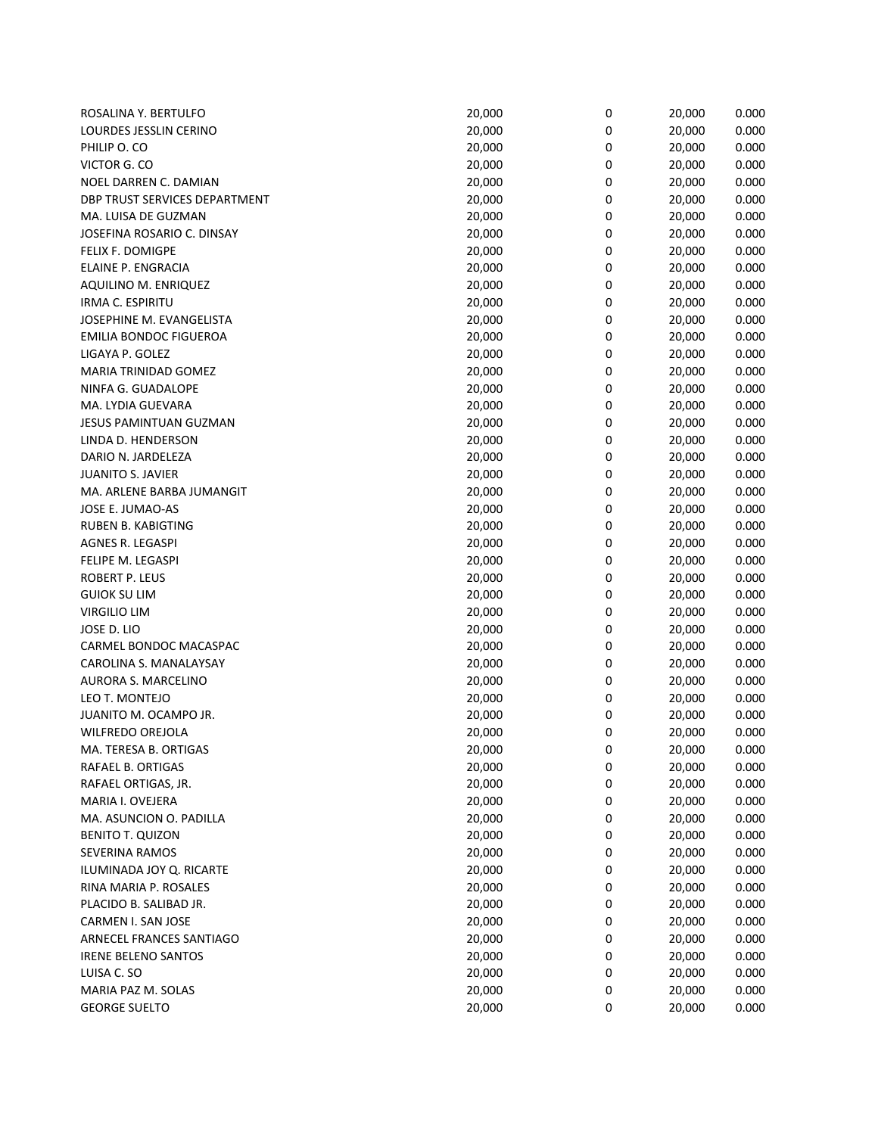| ROSALINA Y. BERTULFO          | 20,000 | 0 | 20,000 | 0.000 |
|-------------------------------|--------|---|--------|-------|
| LOURDES JESSLIN CERINO        | 20,000 | 0 | 20,000 | 0.000 |
| PHILIP O. CO                  | 20,000 | 0 | 20,000 | 0.000 |
| VICTOR G. CO                  | 20,000 | 0 | 20,000 | 0.000 |
| NOEL DARREN C. DAMIAN         | 20,000 | 0 | 20,000 | 0.000 |
| DBP TRUST SERVICES DEPARTMENT | 20,000 | 0 | 20,000 | 0.000 |
| MA. LUISA DE GUZMAN           | 20,000 | 0 | 20,000 | 0.000 |
| JOSEFINA ROSARIO C. DINSAY    | 20,000 | 0 | 20,000 | 0.000 |
| FELIX F. DOMIGPE              | 20,000 | 0 | 20,000 | 0.000 |
| ELAINE P. ENGRACIA            | 20,000 | 0 | 20,000 | 0.000 |
| AQUILINO M. ENRIQUEZ          | 20,000 | 0 | 20,000 | 0.000 |
| IRMA C. ESPIRITU              | 20,000 | 0 | 20,000 | 0.000 |
| JOSEPHINE M. EVANGELISTA      | 20,000 | 0 | 20,000 | 0.000 |
| <b>EMILIA BONDOC FIGUEROA</b> | 20,000 | 0 | 20,000 | 0.000 |
| LIGAYA P. GOLEZ               |        | 0 | 20,000 |       |
|                               | 20,000 |   |        | 0.000 |
| MARIA TRINIDAD GOMEZ          | 20,000 | 0 | 20,000 | 0.000 |
| NINFA G. GUADALOPE            | 20,000 | 0 | 20,000 | 0.000 |
| MA. LYDIA GUEVARA             | 20,000 | 0 | 20,000 | 0.000 |
| JESUS PAMINTUAN GUZMAN        | 20,000 | 0 | 20,000 | 0.000 |
| LINDA D. HENDERSON            | 20,000 | 0 | 20,000 | 0.000 |
| DARIO N. JARDELEZA            | 20,000 | 0 | 20,000 | 0.000 |
| <b>JUANITO S. JAVIER</b>      | 20,000 | 0 | 20,000 | 0.000 |
| MA. ARLENE BARBA JUMANGIT     | 20,000 | 0 | 20,000 | 0.000 |
| JOSE E. JUMAO-AS              | 20,000 | 0 | 20,000 | 0.000 |
| <b>RUBEN B. KABIGTING</b>     | 20,000 | 0 | 20,000 | 0.000 |
| AGNES R. LEGASPI              | 20,000 | 0 | 20,000 | 0.000 |
| FELIPE M. LEGASPI             | 20,000 | 0 | 20,000 | 0.000 |
| ROBERT P. LEUS                | 20,000 | 0 | 20,000 | 0.000 |
| <b>GUIOK SU LIM</b>           | 20,000 | 0 | 20,000 | 0.000 |
| <b>VIRGILIO LIM</b>           | 20,000 | 0 | 20,000 | 0.000 |
| JOSE D. LIO                   | 20,000 | 0 | 20,000 | 0.000 |
| CARMEL BONDOC MACASPAC        | 20,000 | 0 | 20,000 | 0.000 |
| CAROLINA S. MANALAYSAY        | 20,000 | 0 | 20,000 | 0.000 |
| AURORA S. MARCELINO           | 20,000 | 0 | 20,000 | 0.000 |
| LEO T. MONTEJO                | 20,000 | 0 | 20,000 | 0.000 |
| JUANITO M. OCAMPO JR.         | 20,000 | 0 | 20,000 | 0.000 |
| <b>WILFREDO OREJOLA</b>       | 20,000 | 0 | 20,000 | 0.000 |
| MA. TERESA B. ORTIGAS         | 20,000 | 0 | 20,000 | 0.000 |
| RAFAEL B. ORTIGAS             | 20,000 | 0 | 20,000 | 0.000 |
| RAFAEL ORTIGAS, JR.           | 20,000 | 0 | 20,000 | 0.000 |
| MARIA I. OVEJERA              | 20,000 | 0 | 20,000 | 0.000 |
| MA. ASUNCION O. PADILLA       | 20,000 | 0 | 20,000 | 0.000 |
| <b>BENITO T. QUIZON</b>       | 20,000 | 0 | 20,000 | 0.000 |
| SEVERINA RAMOS                | 20,000 | 0 | 20,000 | 0.000 |
| ILUMINADA JOY Q. RICARTE      | 20,000 | 0 | 20,000 | 0.000 |
| RINA MARIA P. ROSALES         | 20,000 | 0 | 20,000 | 0.000 |
| PLACIDO B. SALIBAD JR.        | 20,000 | 0 | 20,000 | 0.000 |
|                               |        |   |        |       |
| CARMEN I. SAN JOSE            | 20,000 | 0 | 20,000 | 0.000 |
| ARNECEL FRANCES SANTIAGO      | 20,000 | 0 | 20,000 | 0.000 |
| <b>IRENE BELENO SANTOS</b>    | 20,000 | 0 | 20,000 | 0.000 |
| LUISA C. SO                   | 20,000 | 0 | 20,000 | 0.000 |
| MARIA PAZ M. SOLAS            | 20,000 | 0 | 20,000 | 0.000 |
| <b>GEORGE SUELTO</b>          | 20,000 | 0 | 20,000 | 0.000 |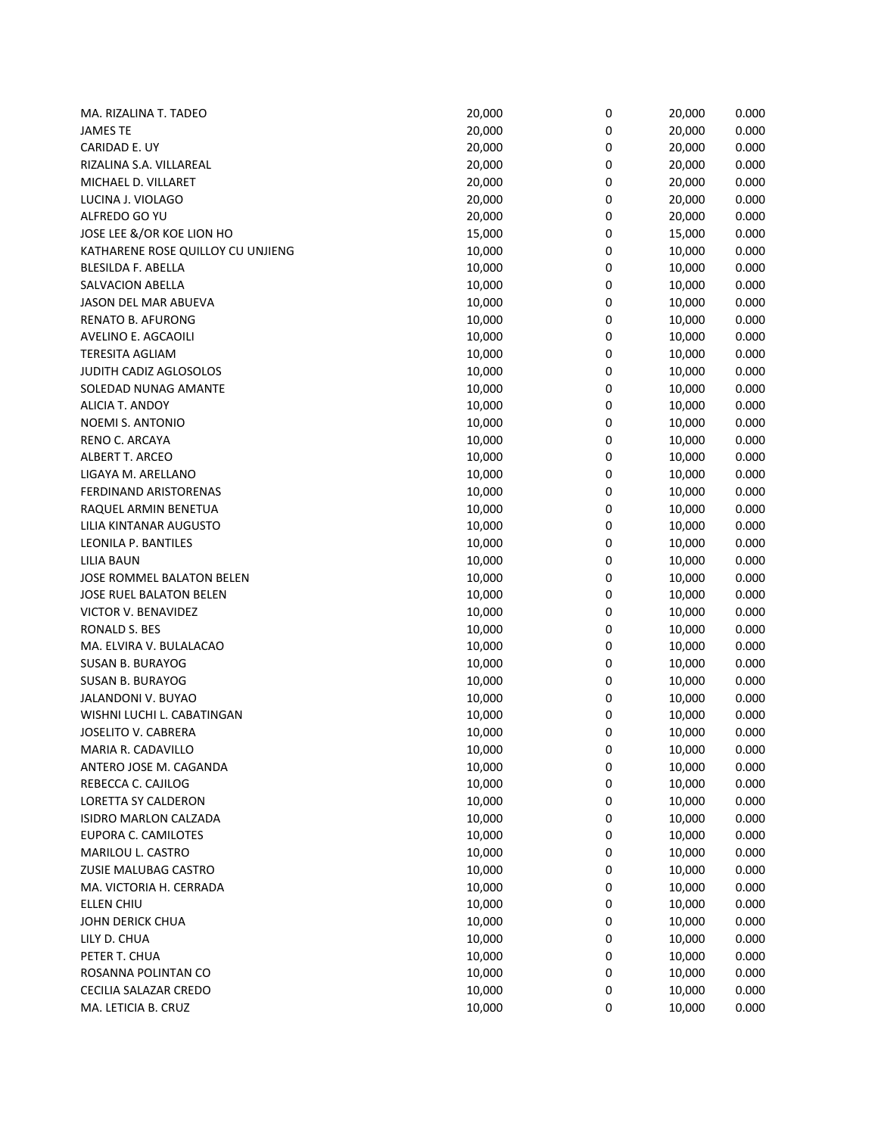| MA. RIZALINA T. TADEO             | 20,000 | $\pmb{0}$ | 20,000 | 0.000 |
|-----------------------------------|--------|-----------|--------|-------|
| <b>JAMES TE</b>                   | 20,000 | 0         | 20,000 | 0.000 |
| CARIDAD E. UY                     | 20,000 | 0         | 20,000 | 0.000 |
| RIZALINA S.A. VILLAREAL           | 20,000 | 0         | 20,000 | 0.000 |
| MICHAEL D. VILLARET               | 20,000 | 0         | 20,000 | 0.000 |
| LUCINA J. VIOLAGO                 | 20,000 | 0         | 20,000 | 0.000 |
| ALFREDO GO YU                     | 20,000 | 0         | 20,000 | 0.000 |
| JOSE LEE &/OR KOE LION HO         | 15,000 | 0         | 15,000 | 0.000 |
| KATHARENE ROSE QUILLOY CU UNJIENG | 10,000 | 0         | 10,000 | 0.000 |
| BLESILDA F. ABELLA                | 10,000 | 0         | 10,000 | 0.000 |
| SALVACION ABELLA                  | 10,000 | 0         | 10,000 | 0.000 |
| JASON DEL MAR ABUEVA              | 10,000 | 0         | 10,000 | 0.000 |
| <b>RENATO B. AFURONG</b>          | 10,000 | 0         | 10,000 | 0.000 |
| AVELINO E. AGCAOILI               | 10,000 | 0         | 10,000 | 0.000 |
| <b>TERESITA AGLIAM</b>            | 10,000 | 0         | 10,000 |       |
|                                   |        |           |        | 0.000 |
| JUDITH CADIZ AGLOSOLOS            | 10,000 | 0         | 10,000 | 0.000 |
| SOLEDAD NUNAG AMANTE              | 10,000 | 0         | 10,000 | 0.000 |
| ALICIA T. ANDOY                   | 10,000 | 0         | 10,000 | 0.000 |
| NOEMI S. ANTONIO                  | 10,000 | 0         | 10,000 | 0.000 |
| RENO C. ARCAYA                    | 10,000 | 0         | 10,000 | 0.000 |
| ALBERT T. ARCEO                   | 10,000 | 0         | 10,000 | 0.000 |
| LIGAYA M. ARELLANO                | 10,000 | 0         | 10,000 | 0.000 |
| FERDINAND ARISTORENAS             | 10,000 | 0         | 10,000 | 0.000 |
| RAQUEL ARMIN BENETUA              | 10,000 | 0         | 10,000 | 0.000 |
| LILIA KINTANAR AUGUSTO            | 10,000 | 0         | 10,000 | 0.000 |
| LEONILA P. BANTILES               | 10,000 | 0         | 10,000 | 0.000 |
| <b>LILIA BAUN</b>                 | 10,000 | 0         | 10,000 | 0.000 |
| JOSE ROMMEL BALATON BELEN         | 10,000 | 0         | 10,000 | 0.000 |
| JOSE RUEL BALATON BELEN           | 10,000 | 0         | 10,000 | 0.000 |
| VICTOR V. BENAVIDEZ               | 10,000 | 0         | 10,000 | 0.000 |
| RONALD S. BES                     | 10,000 | 0         | 10,000 | 0.000 |
| MA. ELVIRA V. BULALACAO           | 10,000 | 0         | 10,000 | 0.000 |
| <b>SUSAN B. BURAYOG</b>           | 10,000 | 0         | 10,000 | 0.000 |
| <b>SUSAN B. BURAYOG</b>           | 10,000 | 0         | 10,000 | 0.000 |
| JALANDONI V. BUYAO                | 10,000 | 0         | 10,000 | 0.000 |
| WISHNI LUCHI L. CABATINGAN        | 10,000 | 0         | 10,000 | 0.000 |
| JOSELITO V. CABRERA               | 10,000 | 0         | 10,000 | 0.000 |
| MARIA R. CADAVILLO                | 10,000 | 0         | 10,000 | 0.000 |
| ANTERO JOSE M. CAGANDA            | 10,000 | 0         | 10,000 | 0.000 |
| REBECCA C. CAJILOG                | 10,000 | 0         | 10,000 | 0.000 |
| LORETTA SY CALDERON               | 10,000 | 0         | 10,000 | 0.000 |
| ISIDRO MARLON CALZADA             | 10,000 | 0         | 10,000 | 0.000 |
| EUPORA C. CAMILOTES               | 10,000 | 0         | 10,000 | 0.000 |
| MARILOU L. CASTRO                 | 10,000 | 0         | 10,000 | 0.000 |
|                                   |        |           |        |       |
| ZUSIE MALUBAG CASTRO              | 10,000 | 0         | 10,000 | 0.000 |
| MA. VICTORIA H. CERRADA           | 10,000 | 0         | 10,000 | 0.000 |
| ELLEN CHIU                        | 10,000 | 0         | 10,000 | 0.000 |
| <b>JOHN DERICK CHUA</b>           | 10,000 | 0         | 10,000 | 0.000 |
| LILY D. CHUA                      | 10,000 | 0         | 10,000 | 0.000 |
| PETER T. CHUA                     | 10,000 | 0         | 10,000 | 0.000 |
| ROSANNA POLINTAN CO               | 10,000 | 0         | 10,000 | 0.000 |
| CECILIA SALAZAR CREDO             | 10,000 | 0         | 10,000 | 0.000 |
| MA. LETICIA B. CRUZ               | 10,000 | 0         | 10,000 | 0.000 |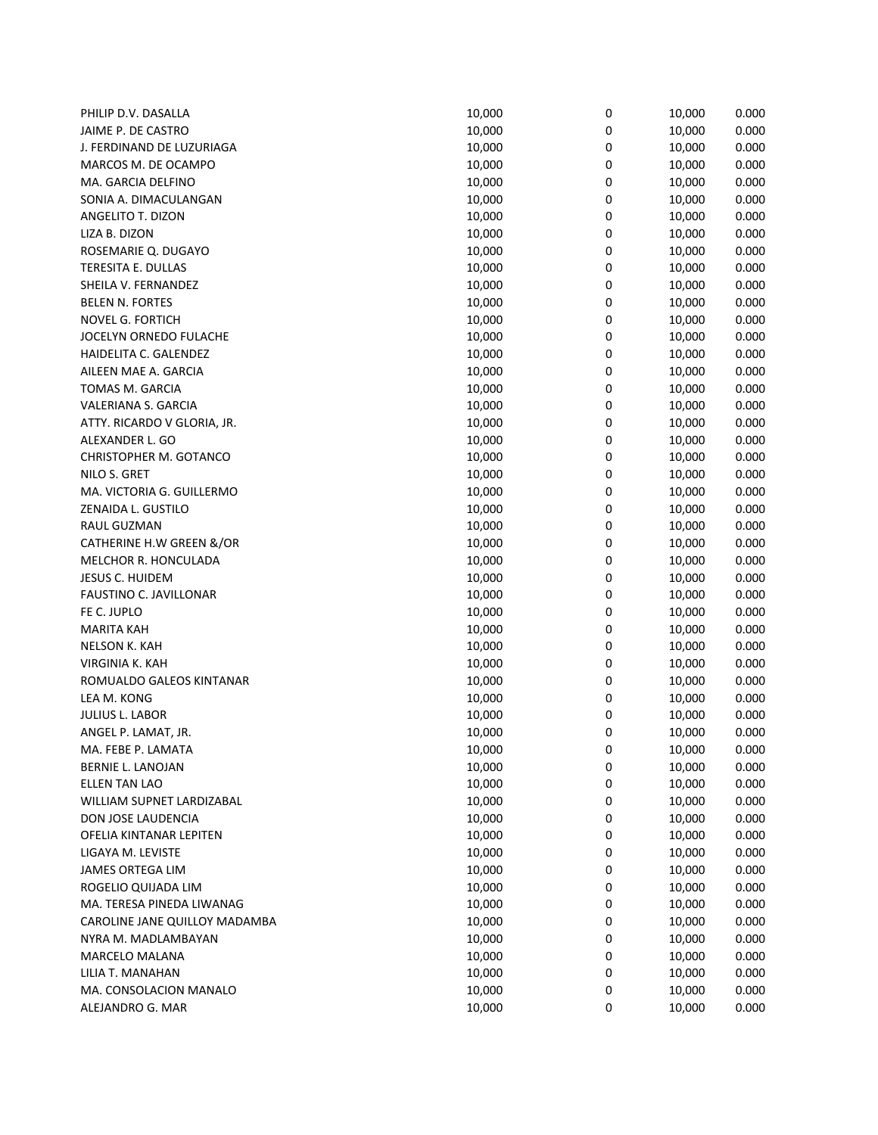| PHILIP D.V. DASALLA           | 10,000 | $\pmb{0}$ | 10,000 | 0.000 |
|-------------------------------|--------|-----------|--------|-------|
| JAIME P. DE CASTRO            | 10,000 | 0         | 10,000 | 0.000 |
| J. FERDINAND DE LUZURIAGA     | 10,000 | 0         | 10,000 | 0.000 |
| MARCOS M. DE OCAMPO           | 10,000 | 0         | 10,000 | 0.000 |
| MA. GARCIA DELFINO            | 10,000 | 0         | 10,000 | 0.000 |
| SONIA A. DIMACULANGAN         | 10,000 | 0         | 10,000 | 0.000 |
| ANGELITO T. DIZON             | 10,000 | 0         | 10,000 | 0.000 |
| LIZA B. DIZON                 | 10,000 | 0         | 10,000 | 0.000 |
| ROSEMARIE Q. DUGAYO           | 10,000 | 0         | 10,000 | 0.000 |
| TERESITA E. DULLAS            | 10,000 | 0         | 10,000 | 0.000 |
| SHEILA V. FERNANDEZ           | 10,000 | 0         | 10,000 | 0.000 |
| <b>BELEN N. FORTES</b>        | 10,000 | 0         | 10,000 | 0.000 |
| NOVEL G. FORTICH              | 10,000 | 0         | 10,000 | 0.000 |
| JOCELYN ORNEDO FULACHE        | 10,000 | 0         | 10,000 | 0.000 |
| HAIDELITA C. GALENDEZ         | 10,000 | 0         | 10,000 | 0.000 |
| AILEEN MAE A. GARCIA          | 10,000 | 0         | 10,000 |       |
|                               |        |           |        | 0.000 |
| TOMAS M. GARCIA               | 10,000 | 0         | 10,000 | 0.000 |
| VALERIANA S. GARCIA           | 10,000 | 0         | 10,000 | 0.000 |
| ATTY. RICARDO V GLORIA, JR.   | 10,000 | 0         | 10,000 | 0.000 |
| ALEXANDER L. GO               | 10,000 | 0         | 10,000 | 0.000 |
| <b>CHRISTOPHER M. GOTANCO</b> | 10,000 | 0         | 10,000 | 0.000 |
| NILO S. GRET                  | 10,000 | 0         | 10,000 | 0.000 |
| MA. VICTORIA G. GUILLERMO     | 10,000 | 0         | 10,000 | 0.000 |
| ZENAIDA L. GUSTILO            | 10,000 | 0         | 10,000 | 0.000 |
| RAUL GUZMAN                   | 10,000 | 0         | 10,000 | 0.000 |
| CATHERINE H.W GREEN &/OR      | 10,000 | 0         | 10,000 | 0.000 |
| MELCHOR R. HONCULADA          | 10,000 | 0         | 10,000 | 0.000 |
| <b>JESUS C. HUIDEM</b>        | 10,000 | 0         | 10,000 | 0.000 |
| FAUSTINO C. JAVILLONAR        | 10,000 | 0         | 10,000 | 0.000 |
| FE C. JUPLO                   | 10,000 | 0         | 10,000 | 0.000 |
| <b>MARITA KAH</b>             | 10,000 | 0         | 10,000 | 0.000 |
| <b>NELSON K. KAH</b>          | 10,000 | 0         | 10,000 | 0.000 |
| <b>VIRGINIA K. KAH</b>        | 10,000 | 0         | 10,000 | 0.000 |
| ROMUALDO GALEOS KINTANAR      | 10,000 | 0         | 10,000 | 0.000 |
| LEA M. KONG                   | 10,000 | 0         | 10,000 | 0.000 |
| JULIUS L. LABOR               | 10,000 | 0         | 10,000 | 0.000 |
| ANGEL P. LAMAT, JR.           | 10,000 | 0         | 10,000 | 0.000 |
| MA. FEBE P. LAMATA            | 10,000 | 0         | 10,000 | 0.000 |
| BERNIE L. LANOJAN             | 10,000 | 0         | 10,000 | 0.000 |
| <b>ELLEN TAN LAO</b>          | 10,000 | 0         | 10,000 | 0.000 |
| WILLIAM SUPNET LARDIZABAL     | 10,000 | 0         | 10,000 | 0.000 |
| DON JOSE LAUDENCIA            | 10,000 | 0         | 10,000 | 0.000 |
| OFELIA KINTANAR LEPITEN       | 10,000 | 0         | 10,000 | 0.000 |
| LIGAYA M. LEVISTE             | 10,000 | 0         | 10,000 | 0.000 |
| <b>JAMES ORTEGA LIM</b>       | 10,000 | 0         | 10,000 | 0.000 |
| ROGELIO QUIJADA LIM           | 10,000 | 0         | 10,000 | 0.000 |
| MA. TERESA PINEDA LIWANAG     | 10,000 | 0         | 10,000 | 0.000 |
| CAROLINE JANE QUILLOY MADAMBA | 10,000 | 0         | 10,000 | 0.000 |
| NYRA M. MADLAMBAYAN           | 10,000 | 0         | 10,000 | 0.000 |
| MARCELO MALANA                | 10,000 | 0         | 10,000 | 0.000 |
| LILIA T. MANAHAN              | 10,000 | 0         | 10,000 | 0.000 |
| MA. CONSOLACION MANALO        | 10,000 | 0         | 10,000 | 0.000 |
| ALEJANDRO G. MAR              | 10,000 | 0         | 10,000 | 0.000 |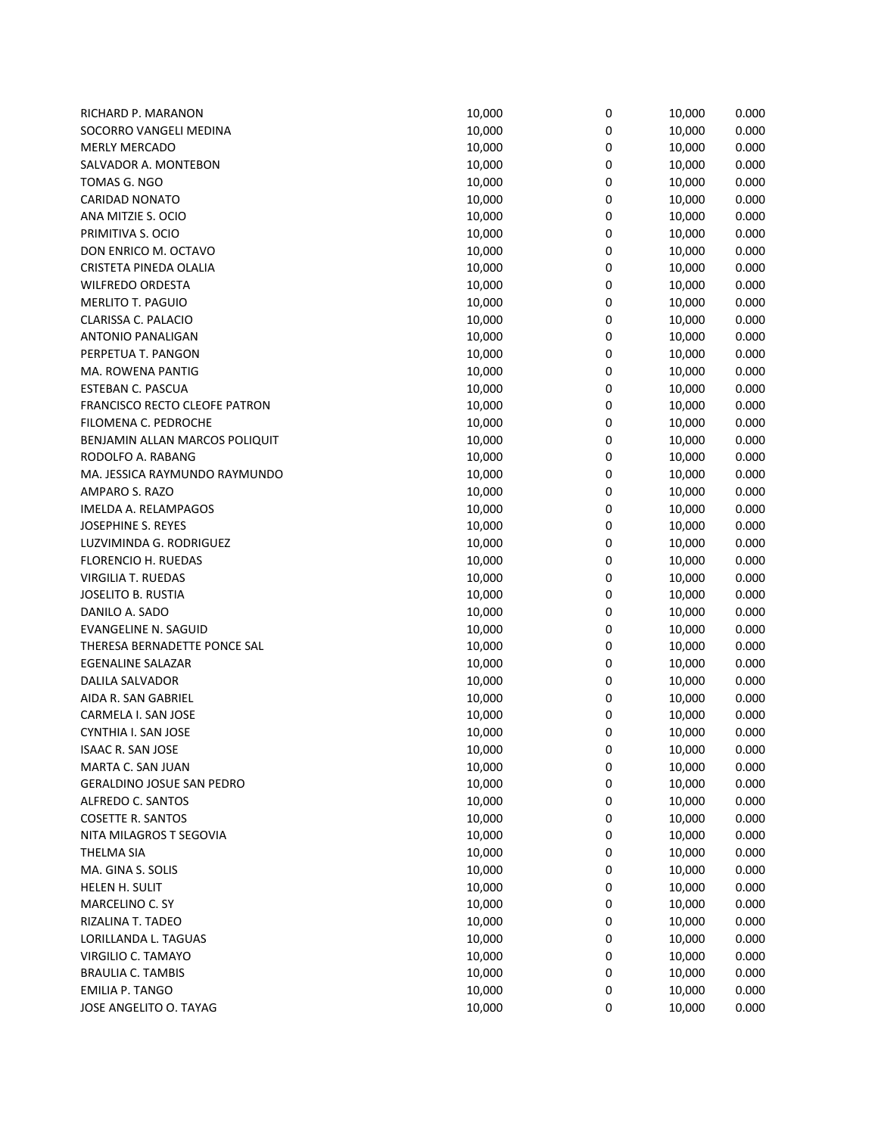| RICHARD P. MARANON                   | 10,000 | 0 | 10,000 | 0.000 |
|--------------------------------------|--------|---|--------|-------|
| SOCORRO VANGELI MEDINA               | 10,000 | 0 | 10,000 | 0.000 |
| MERLY MERCADO                        | 10,000 | 0 | 10,000 | 0.000 |
| SALVADOR A. MONTEBON                 | 10,000 | 0 | 10,000 | 0.000 |
| TOMAS G. NGO                         | 10,000 | 0 | 10,000 | 0.000 |
| <b>CARIDAD NONATO</b>                | 10,000 | 0 | 10,000 | 0.000 |
| ANA MITZIE S. OCIO                   | 10,000 | 0 | 10,000 | 0.000 |
| PRIMITIVA S. OCIO                    | 10,000 | 0 | 10,000 | 0.000 |
| DON ENRICO M. OCTAVO                 | 10,000 | 0 | 10,000 | 0.000 |
| CRISTETA PINEDA OLALIA               | 10,000 | 0 | 10,000 | 0.000 |
| <b>WILFREDO ORDESTA</b>              | 10,000 | 0 | 10,000 | 0.000 |
| MERLITO T. PAGUIO                    | 10,000 | 0 | 10,000 | 0.000 |
| CLARISSA C. PALACIO                  | 10,000 | 0 | 10,000 | 0.000 |
| <b>ANTONIO PANALIGAN</b>             | 10,000 | 0 | 10,000 | 0.000 |
| PERPETUA T. PANGON                   | 10,000 | 0 | 10,000 | 0.000 |
| MA. ROWENA PANTIG                    | 10,000 | 0 | 10,000 | 0.000 |
| ESTEBAN C. PASCUA                    | 10,000 | 0 | 10,000 | 0.000 |
| <b>FRANCISCO RECTO CLEOFE PATRON</b> | 10,000 | 0 | 10,000 | 0.000 |
| FILOMENA C. PEDROCHE                 | 10,000 | 0 | 10,000 | 0.000 |
| BENJAMIN ALLAN MARCOS POLIQUIT       | 10,000 | 0 | 10,000 | 0.000 |
| RODOLFO A. RABANG                    | 10,000 | 0 | 10,000 | 0.000 |
| MA. JESSICA RAYMUNDO RAYMUNDO        | 10,000 | 0 | 10,000 | 0.000 |
|                                      |        |   |        |       |
| AMPARO S. RAZO                       | 10,000 | 0 | 10,000 | 0.000 |
| IMELDA A. RELAMPAGOS                 | 10,000 | 0 | 10,000 | 0.000 |
| JOSEPHINE S. REYES                   | 10,000 | 0 | 10,000 | 0.000 |
| LUZVIMINDA G. RODRIGUEZ              | 10,000 | 0 | 10,000 | 0.000 |
| FLORENCIO H. RUEDAS                  | 10,000 | 0 | 10,000 | 0.000 |
| VIRGILIA T. RUEDAS                   | 10,000 | 0 | 10,000 | 0.000 |
| JOSELITO B. RUSTIA                   | 10,000 | 0 | 10,000 | 0.000 |
| DANILO A. SADO                       | 10,000 | 0 | 10,000 | 0.000 |
| <b>EVANGELINE N. SAGUID</b>          | 10,000 | 0 | 10,000 | 0.000 |
| THERESA BERNADETTE PONCE SAL         | 10,000 | 0 | 10,000 | 0.000 |
| <b>EGENALINE SALAZAR</b>             | 10,000 | 0 | 10,000 | 0.000 |
| DALILA SALVADOR                      | 10,000 | 0 | 10,000 | 0.000 |
| AIDA R. SAN GABRIEL                  | 10,000 | 0 | 10,000 | 0.000 |
| CARMELA I. SAN JOSE                  | 10,000 | 0 | 10,000 | 0.000 |
| CYNTHIA I. SAN JOSE                  | 10,000 | 0 | 10,000 | 0.000 |
| <b>ISAAC R. SAN JOSE</b>             | 10,000 | 0 | 10,000 | 0.000 |
| MARTA C. SAN JUAN                    | 10,000 | 0 | 10,000 | 0.000 |
| <b>GERALDINO JOSUE SAN PEDRO</b>     | 10,000 | 0 | 10,000 | 0.000 |
| ALFREDO C. SANTOS                    | 10,000 | 0 | 10,000 | 0.000 |
| <b>COSETTE R. SANTOS</b>             | 10,000 | 0 | 10,000 | 0.000 |
| NITA MILAGROS T SEGOVIA              | 10,000 | 0 | 10,000 | 0.000 |
| <b>THELMA SIA</b>                    | 10,000 | 0 | 10,000 | 0.000 |
| MA. GINA S. SOLIS                    | 10,000 | 0 | 10,000 | 0.000 |
| HELEN H. SULIT                       | 10,000 | 0 | 10,000 | 0.000 |
| MARCELINO C. SY                      | 10,000 | 0 | 10,000 | 0.000 |
| RIZALINA T. TADEO                    | 10,000 | 0 | 10,000 | 0.000 |
| LORILLANDA L. TAGUAS                 | 10,000 | 0 | 10,000 | 0.000 |
| VIRGILIO C. TAMAYO                   | 10,000 | 0 | 10,000 | 0.000 |
| <b>BRAULIA C. TAMBIS</b>             | 10,000 | 0 | 10,000 | 0.000 |
| <b>EMILIA P. TANGO</b>               | 10,000 | 0 | 10,000 | 0.000 |
| JOSE ANGELITO O. TAYAG               | 10,000 | 0 | 10,000 | 0.000 |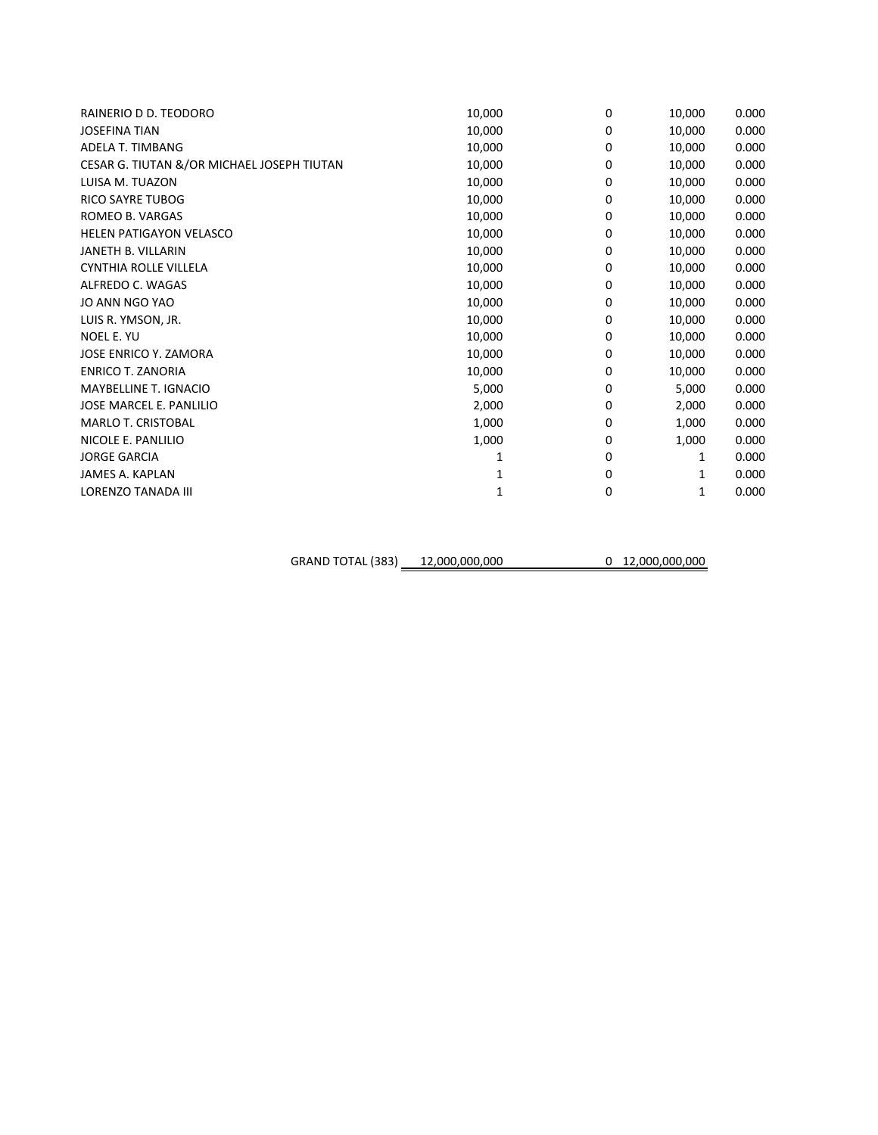| RAINERIO D D. TEODORO                      | 10,000 | 0           | 10,000 | 0.000 |
|--------------------------------------------|--------|-------------|--------|-------|
| <b>JOSEFINA TIAN</b>                       | 10,000 | 0           | 10,000 | 0.000 |
| <b>ADELA T. TIMBANG</b>                    | 10,000 | 0           | 10,000 | 0.000 |
| CESAR G. TIUTAN &/OR MICHAEL JOSEPH TIUTAN | 10,000 | 0           | 10,000 | 0.000 |
| LUISA M. TUAZON                            | 10,000 | 0           | 10,000 | 0.000 |
| <b>RICO SAYRE TUBOG</b>                    | 10,000 | 0           | 10,000 | 0.000 |
| ROMEO B. VARGAS                            | 10,000 | 0           | 10,000 | 0.000 |
| <b>HELEN PATIGAYON VELASCO</b>             | 10,000 | 0           | 10,000 | 0.000 |
| JANETH B. VILLARIN                         | 10,000 | 0           | 10,000 | 0.000 |
| CYNTHIA ROLLE VILLELA                      | 10,000 | 0           | 10,000 | 0.000 |
| ALFREDO C. WAGAS                           | 10,000 | 0           | 10,000 | 0.000 |
| JO ANN NGO YAO                             | 10,000 | 0           | 10,000 | 0.000 |
| LUIS R. YMSON, JR.                         | 10,000 | 0           | 10,000 | 0.000 |
| NOEL E. YU                                 | 10,000 | 0           | 10,000 | 0.000 |
| JOSE ENRICO Y. ZAMORA                      | 10,000 | 0           | 10,000 | 0.000 |
| <b>ENRICO T. ZANORIA</b>                   | 10,000 | 0           | 10,000 | 0.000 |
| MAYBELLINE T. IGNACIO                      | 5,000  | 0           | 5,000  | 0.000 |
| JOSE MARCEL E. PANLILIO                    | 2,000  | 0           | 2,000  | 0.000 |
| MARLO T. CRISTOBAL                         | 1,000  | 0           | 1,000  | 0.000 |
| NICOLE E. PANLILIO                         | 1,000  | 0           | 1,000  | 0.000 |
| <b>JORGE GARCIA</b>                        | 1      | 0           | 1      | 0.000 |
| <b>JAMES A. KAPLAN</b>                     |        | 0           | 1      | 0.000 |
| LORENZO TANADA III                         | 1      | $\mathbf 0$ | 1      | 0.000 |
|                                            |        |             |        |       |

GRAND TOTAL (383) 12,000,000,000 0 12,000,000,000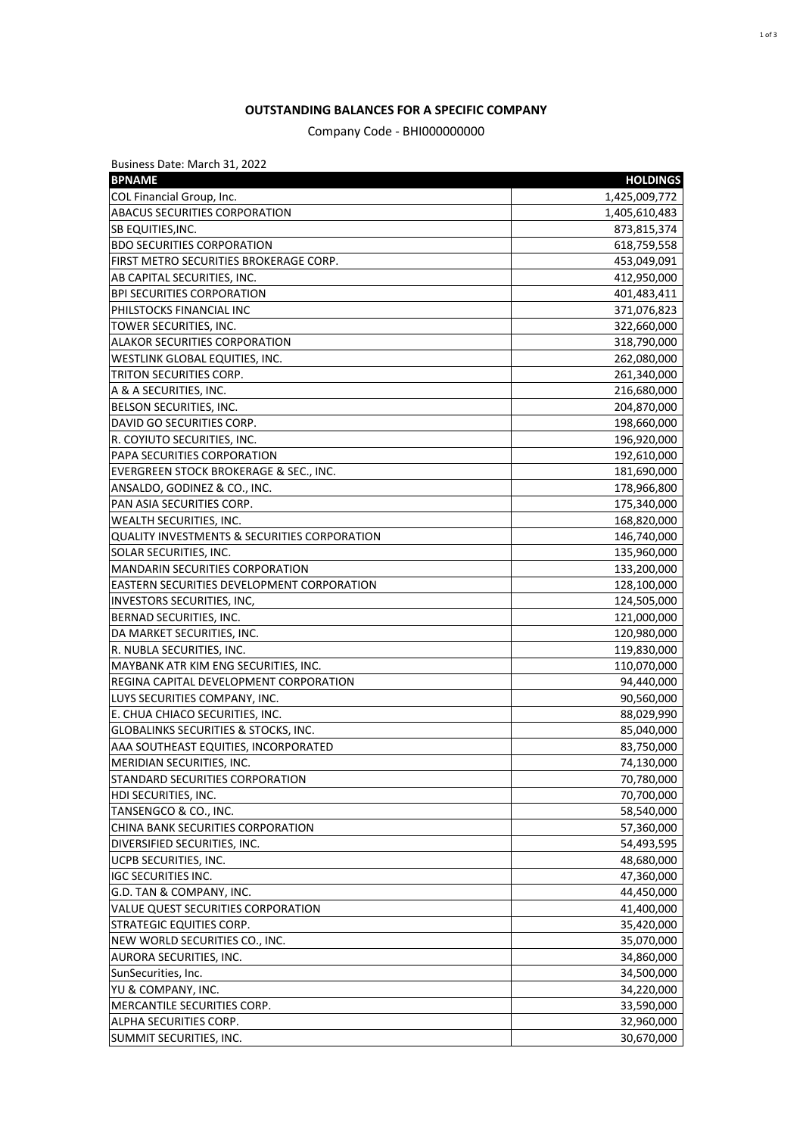## **OUTSTANDING BALANCES FOR A SPECIFIC COMPANY**

Company Code - BHI000000000

| Business Date: March 31, 2022                                     |                 |
|-------------------------------------------------------------------|-----------------|
| <b>BPNAME</b>                                                     | <b>HOLDINGS</b> |
| COL Financial Group, Inc.                                         | 1,425,009,772   |
| <b>ABACUS SECURITIES CORPORATION</b>                              | 1,405,610,483   |
| <b>SB EQUITIES, INC.</b>                                          | 873,815,374     |
| <b>BDO SECURITIES CORPORATION</b>                                 | 618,759,558     |
| FIRST METRO SECURITIES BROKERAGE CORP.                            | 453,049,091     |
| AB CAPITAL SECURITIES, INC.                                       | 412,950,000     |
| <b>BPI SECURITIES CORPORATION</b>                                 | 401,483,411     |
| PHILSTOCKS FINANCIAL INC                                          | 371,076,823     |
| TOWER SECURITIES, INC.                                            | 322,660,000     |
| <b>ALAKOR SECURITIES CORPORATION</b>                              | 318,790,000     |
| WESTLINK GLOBAL EQUITIES, INC.                                    | 262,080,000     |
| TRITON SECURITIES CORP.                                           | 261,340,000     |
| A & A SECURITIES, INC.                                            | 216,680,000     |
| BELSON SECURITIES, INC.                                           | 204,870,000     |
| DAVID GO SECURITIES CORP.                                         | 198,660,000     |
| R. COYIUTO SECURITIES, INC.                                       | 196,920,000     |
| PAPA SECURITIES CORPORATION                                       | 192,610,000     |
| EVERGREEN STOCK BROKERAGE & SEC., INC.                            | 181,690,000     |
| ANSALDO, GODINEZ & CO., INC.                                      | 178,966,800     |
| PAN ASIA SECURITIES CORP.                                         | 175,340,000     |
| WEALTH SECURITIES, INC.                                           | 168,820,000     |
| QUALITY INVESTMENTS & SECURITIES CORPORATION                      | 146,740,000     |
| SOLAR SECURITIES, INC.                                            | 135,960,000     |
| <b>MANDARIN SECURITIES CORPORATION</b>                            | 133,200,000     |
| EASTERN SECURITIES DEVELOPMENT CORPORATION                        | 128,100,000     |
| INVESTORS SECURITIES, INC,                                        | 124,505,000     |
| BERNAD SECURITIES, INC.                                           | 121,000,000     |
| DA MARKET SECURITIES, INC.                                        | 120,980,000     |
| R. NUBLA SECURITIES, INC.                                         | 119,830,000     |
| MAYBANK ATR KIM ENG SECURITIES, INC.                              | 110,070,000     |
| REGINA CAPITAL DEVELOPMENT CORPORATION                            | 94,440,000      |
| LUYS SECURITIES COMPANY, INC.                                     | 90,560,000      |
| E. CHUA CHIACO SECURITIES, INC.                                   | 88,029,990      |
| GLOBALINKS SECURITIES & STOCKS, INC.                              | 85,040,000      |
| AAA SOUTHEAST EQUITIES, INCORPORATED                              | 83,750,000      |
| MERIDIAN SECURITIES, INC.                                         | 74,130,000      |
| STANDARD SECURITIES CORPORATION                                   | 70,780,000      |
| HDI SECURITIES, INC.                                              | 70,700,000      |
| TANSENGCO & CO., INC.                                             | 58,540,000      |
| CHINA BANK SECURITIES CORPORATION                                 | 57,360,000      |
| DIVERSIFIED SECURITIES, INC.                                      | 54,493,595      |
| UCPB SECURITIES, INC.                                             | 48,680,000      |
| <b>IGC SECURITIES INC.</b>                                        | 47,360,000      |
| G.D. TAN & COMPANY, INC.                                          | 44,450,000      |
| VALUE QUEST SECURITIES CORPORATION                                |                 |
|                                                                   | 41,400,000      |
| <b>STRATEGIC EQUITIES CORP.</b><br>NEW WORLD SECURITIES CO., INC. | 35,420,000      |
|                                                                   | 35,070,000      |
| AURORA SECURITIES, INC.                                           | 34,860,000      |
| SunSecurities, Inc.                                               | 34,500,000      |
| YU & COMPANY, INC.                                                | 34,220,000      |
| MERCANTILE SECURITIES CORP.                                       | 33,590,000      |
| ALPHA SECURITIES CORP.                                            | 32,960,000      |
| SUMMIT SECURITIES, INC.                                           | 30,670,000      |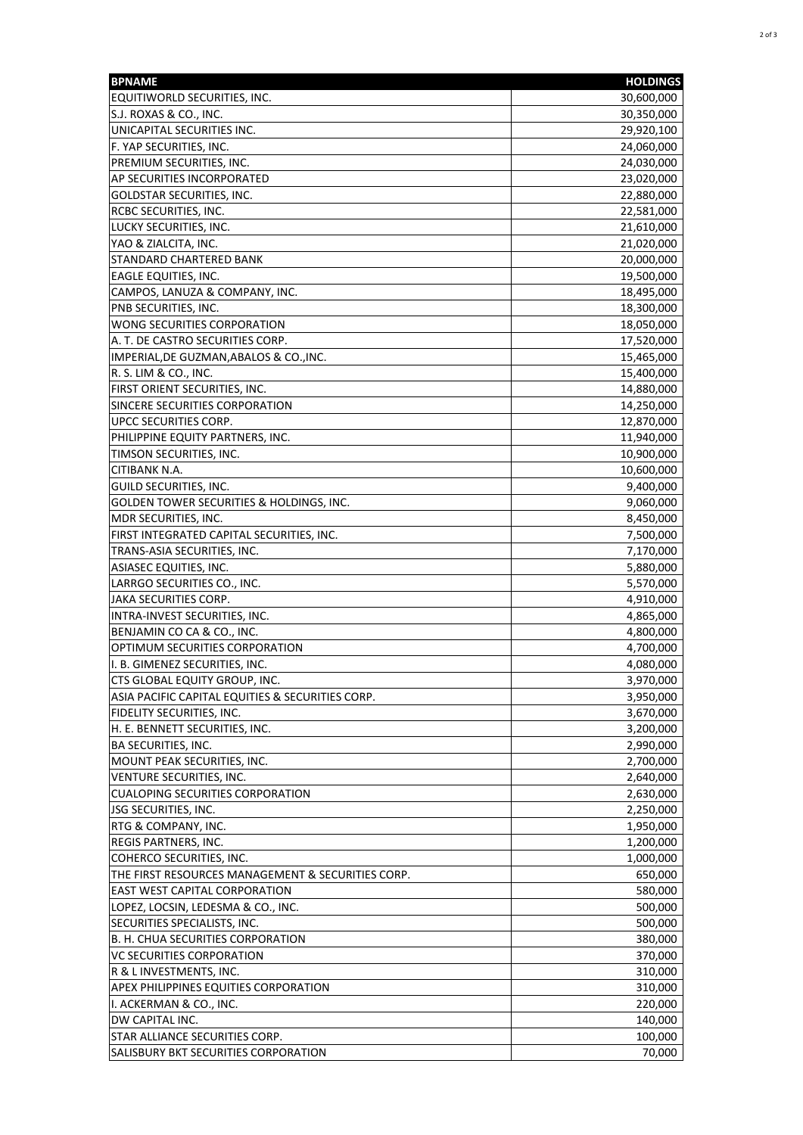| <b>BPNAME</b>                                     | <b>HOLDINGS</b> |
|---------------------------------------------------|-----------------|
| EQUITIWORLD SECURITIES, INC.                      | 30,600,000      |
| S.J. ROXAS & CO., INC.                            | 30,350,000      |
| UNICAPITAL SECURITIES INC.                        | 29,920,100      |
| F. YAP SECURITIES, INC.                           | 24,060,000      |
| PREMIUM SECURITIES, INC.                          | 24,030,000      |
| AP SECURITIES INCORPORATED                        | 23,020,000      |
| GOLDSTAR SECURITIES, INC.                         | 22,880,000      |
| RCBC SECURITIES, INC.                             | 22,581,000      |
| LUCKY SECURITIES, INC.                            | 21,610,000      |
| YAO & ZIALCITA, INC.                              | 21,020,000      |
| STANDARD CHARTERED BANK                           | 20,000,000      |
| EAGLE EQUITIES, INC.                              | 19,500,000      |
| CAMPOS, LANUZA & COMPANY, INC.                    | 18,495,000      |
| PNB SECURITIES, INC.                              | 18,300,000      |
| WONG SECURITIES CORPORATION                       | 18,050,000      |
| A. T. DE CASTRO SECURITIES CORP.                  | 17,520,000      |
| IMPERIAL, DE GUZMAN, ABALOS & CO., INC.           | 15,465,000      |
| R. S. LIM & CO., INC.                             | 15,400,000      |
| FIRST ORIENT SECURITIES, INC.                     | 14,880,000      |
| SINCERE SECURITIES CORPORATION                    | 14,250,000      |
| UPCC SECURITIES CORP.                             | 12,870,000      |
| PHILIPPINE EQUITY PARTNERS, INC.                  | 11,940,000      |
| TIMSON SECURITIES, INC.                           | 10,900,000      |
| CITIBANK N.A.                                     | 10,600,000      |
| GUILD SECURITIES, INC.                            | 9,400,000       |
| GOLDEN TOWER SECURITIES & HOLDINGS, INC.          | 9,060,000       |
| MDR SECURITIES, INC.                              | 8,450,000       |
| FIRST INTEGRATED CAPITAL SECURITIES, INC.         | 7,500,000       |
| TRANS-ASIA SECURITIES, INC.                       | 7,170,000       |
| ASIASEC EQUITIES, INC.                            | 5,880,000       |
| LARRGO SECURITIES CO., INC.                       | 5,570,000       |
| JAKA SECURITIES CORP.                             | 4,910,000       |
| INTRA-INVEST SECURITIES, INC.                     | 4,865,000       |
| BENJAMIN CO CA & CO., INC.                        | 4,800,000       |
| OPTIMUM SECURITIES CORPORATION                    | 4,700,000       |
| I. B. GIMENEZ SECURITIES, INC.                    | 4,080,000       |
| CTS GLOBAL EQUITY GROUP, INC.                     | 3,970,000       |
| ASIA PACIFIC CAPITAL EQUITIES & SECURITIES CORP.  | 3,950,000       |
| FIDELITY SECURITIES, INC.                         | 3,670,000       |
| H. E. BENNETT SECURITIES, INC.                    | 3,200,000       |
| <b>BA SECURITIES, INC.</b>                        | 2,990,000       |
| MOUNT PEAK SECURITIES, INC.                       | 2,700,000       |
| VENTURE SECURITIES, INC.                          | 2,640,000       |
| <b>CUALOPING SECURITIES CORPORATION</b>           | 2,630,000       |
| <b>JSG SECURITIES, INC.</b>                       | 2,250,000       |
| RTG & COMPANY, INC.                               | 1,950,000       |
| <b>REGIS PARTNERS, INC.</b>                       | 1,200,000       |
| COHERCO SECURITIES, INC.                          | 1,000,000       |
| THE FIRST RESOURCES MANAGEMENT & SECURITIES CORP. | 650,000         |
| EAST WEST CAPITAL CORPORATION                     | 580,000         |
| LOPEZ, LOCSIN, LEDESMA & CO., INC.                | 500,000         |
| SECURITIES SPECIALISTS, INC.                      | 500,000         |
| B. H. CHUA SECURITIES CORPORATION                 | 380,000         |
| VC SECURITIES CORPORATION                         | 370,000         |
| R & L INVESTMENTS, INC.                           | 310,000         |
| APEX PHILIPPINES EQUITIES CORPORATION             | 310,000         |
| I. ACKERMAN & CO., INC.                           | 220,000         |
| DW CAPITAL INC.                                   | 140,000         |
| STAR ALLIANCE SECURITIES CORP.                    | 100,000         |
| SALISBURY BKT SECURITIES CORPORATION              | 70,000          |